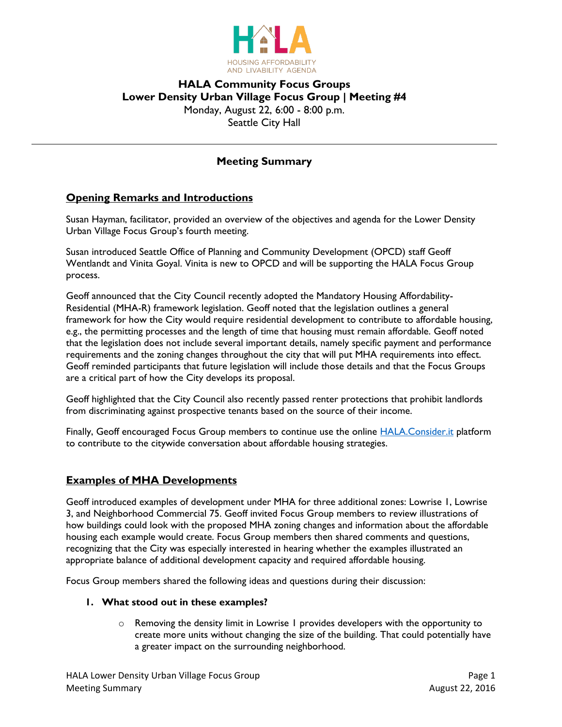

# **HALA Community Focus Groups Lower Density Urban Village Focus Group | Meeting #4** Monday, August 22, 6:00 - 8:00 p.m. Seattle City Hall

## **Meeting Summary**

## **Opening Remarks and Introductions**

Susan Hayman, facilitator, provided an overview of the objectives and agenda for the Lower Density Urban Village Focus Group's fourth meeting.

Susan introduced Seattle Office of Planning and Community Development (OPCD) staff Geoff Wentlandt and Vinita Goyal. Vinita is new to OPCD and will be supporting the HALA Focus Group process.

Geoff announced that the City Council recently adopted the Mandatory Housing Affordability-Residential (MHA-R) framework legislation. Geoff noted that the legislation outlines a general framework for how the City would require residential development to contribute to affordable housing, e.g., the permitting processes and the length of time that housing must remain affordable. Geoff noted that the legislation does not include several important details, namely specific payment and performance requirements and the zoning changes throughout the city that will put MHA requirements into effect. Geoff reminded participants that future legislation will include those details and that the Focus Groups are a critical part of how the City develops its proposal.

Geoff highlighted that the City Council also recently passed renter protections that prohibit landlords from discriminating against prospective tenants based on the source of their income.

Finally, Geoff encouraged Focus Group members to continue use the online **HALA.Consider.it platform** to contribute to the citywide conversation about affordable housing strategies.

### **Examples of MHA Developments**

Geoff introduced examples of development under MHA for three additional zones: Lowrise 1, Lowrise 3, and Neighborhood Commercial 75. Geoff invited Focus Group members to review illustrations of how buildings could look with the proposed MHA zoning changes and information about the affordable housing each example would create. Focus Group members then shared comments and questions, recognizing that the City was especially interested in hearing whether the examples illustrated an appropriate balance of additional development capacity and required affordable housing.

Focus Group members shared the following ideas and questions during their discussion:

#### **1. What stood out in these examples?**

 $\circ$  Removing the density limit in Lowrise 1 provides developers with the opportunity to create more units without changing the size of the building. That could potentially have a greater impact on the surrounding neighborhood.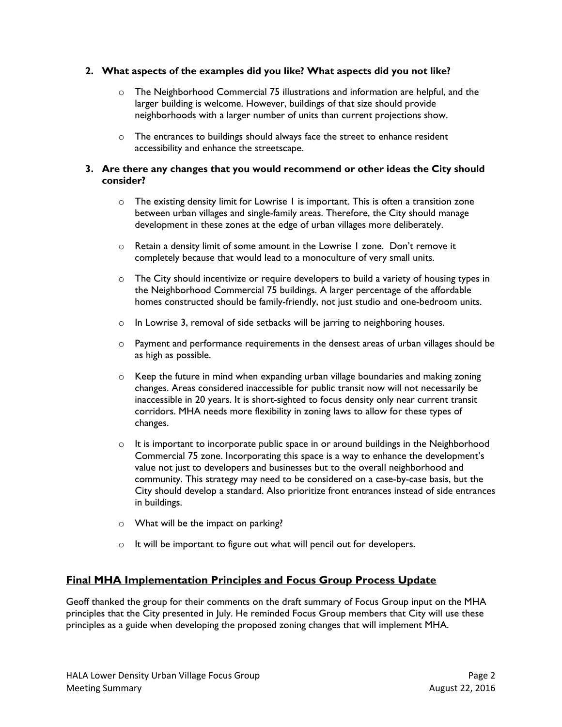### **2. What aspects of the examples did you like? What aspects did you not like?**

- $\circ$  The Neighborhood Commercial 75 illustrations and information are helpful, and the larger building is welcome. However, buildings of that size should provide neighborhoods with a larger number of units than current projections show.
- o The entrances to buildings should always face the street to enhance resident accessibility and enhance the streetscape.

### **3. Are there any changes that you would recommend or other ideas the City should consider?**

- o The existing density limit for Lowrise 1 is important. This is often a transition zone between urban villages and single-family areas. Therefore, the City should manage development in these zones at the edge of urban villages more deliberately.
- o Retain a density limit of some amount in the Lowrise 1 zone. Don't remove it completely because that would lead to a monoculture of very small units.
- $\circ$  The City should incentivize or require developers to build a variety of housing types in the Neighborhood Commercial 75 buildings. A larger percentage of the affordable homes constructed should be family-friendly, not just studio and one-bedroom units.
- o In Lowrise 3, removal of side setbacks will be jarring to neighboring houses.
- o Payment and performance requirements in the densest areas of urban villages should be as high as possible.
- $\circ$  Keep the future in mind when expanding urban village boundaries and making zoning changes. Areas considered inaccessible for public transit now will not necessarily be inaccessible in 20 years. It is short-sighted to focus density only near current transit corridors. MHA needs more flexibility in zoning laws to allow for these types of changes.
- o It is important to incorporate public space in or around buildings in the Neighborhood Commercial 75 zone. Incorporating this space is a way to enhance the development's value not just to developers and businesses but to the overall neighborhood and community. This strategy may need to be considered on a case-by-case basis, but the City should develop a standard. Also prioritize front entrances instead of side entrances in buildings.
- o What will be the impact on parking?
- o It will be important to figure out what will pencil out for developers.

## **Final MHA Implementation Principles and Focus Group Process Update**

Geoff thanked the group for their comments on the draft summary of Focus Group input on the MHA principles that the City presented in July. He reminded Focus Group members that City will use these principles as a guide when developing the proposed zoning changes that will implement MHA.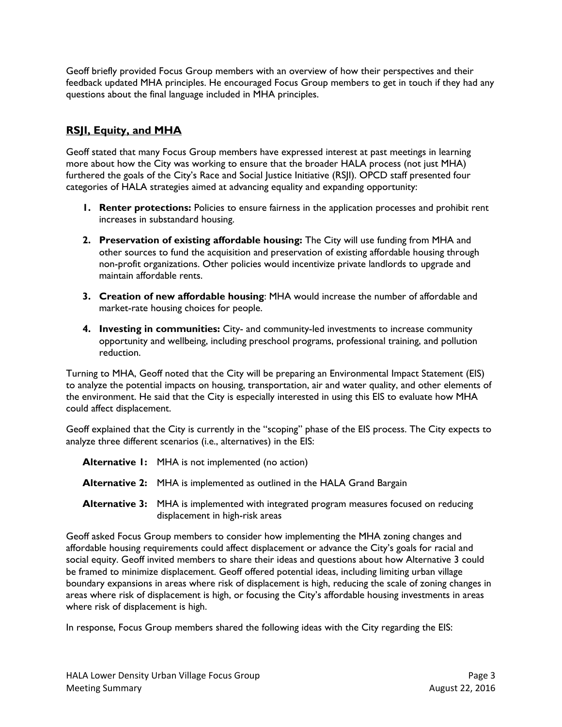Geoff briefly provided Focus Group members with an overview of how their perspectives and their feedback updated MHA principles. He encouraged Focus Group members to get in touch if they had any questions about the final language included in MHA principles.

# **RSJI, Equity, and MHA**

Geoff stated that many Focus Group members have expressed interest at past meetings in learning more about how the City was working to ensure that the broader HALA process (not just MHA) furthered the goals of the City's Race and Social Justice Initiative (RSJI). OPCD staff presented four categories of HALA strategies aimed at advancing equality and expanding opportunity:

- **1. Renter protections:** Policies to ensure fairness in the application processes and prohibit rent increases in substandard housing.
- **2. Preservation of existing affordable housing:** The City will use funding from MHA and other sources to fund the acquisition and preservation of existing affordable housing through non-profit organizations. Other policies would incentivize private landlords to upgrade and maintain affordable rents.
- **3. Creation of new affordable housing**: MHA would increase the number of affordable and market-rate housing choices for people.
- **4. Investing in communities:** City- and community-led investments to increase community opportunity and wellbeing, including preschool programs, professional training, and pollution reduction.

Turning to MHA, Geoff noted that the City will be preparing an Environmental Impact Statement (EIS) to analyze the potential impacts on housing, transportation, air and water quality, and other elements of the environment. He said that the City is especially interested in using this EIS to evaluate how MHA could affect displacement.

Geoff explained that the City is currently in the "scoping" phase of the EIS process. The City expects to analyze three different scenarios (i.e., alternatives) in the EIS:

| <b>Alternative 1:</b> MHA is not implemented (no action)                                                                         |
|----------------------------------------------------------------------------------------------------------------------------------|
| <b>Alternative 2:</b> MHA is implemented as outlined in the HALA Grand Bargain                                                   |
| <b>Alternative 3:</b> MHA is implemented with integrated program measures focused on reducing<br>displacement in high-risk areas |
|                                                                                                                                  |

Geoff asked Focus Group members to consider how implementing the MHA zoning changes and affordable housing requirements could affect displacement or advance the City's goals for racial and social equity. Geoff invited members to share their ideas and questions about how Alternative 3 could be framed to minimize displacement. Geoff offered potential ideas, including limiting urban village boundary expansions in areas where risk of displacement is high, reducing the scale of zoning changes in areas where risk of displacement is high, or focusing the City's affordable housing investments in areas where risk of displacement is high.

In response, Focus Group members shared the following ideas with the City regarding the EIS: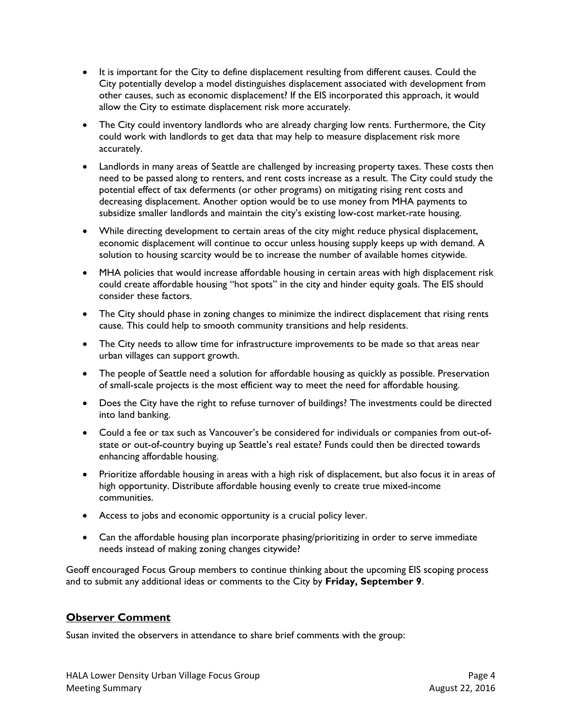- It is important for the City to define displacement resulting from different causes. Could the City potentially develop a model distinguishes displacement associated with development from other causes, such as economic displacement? If the EIS incorporated this approach, it would allow the City to estimate displacement risk more accurately.
- The City could inventory landlords who are already charging low rents. Furthermore, the City could work with landlords to get data that may help to measure displacement risk more accurately.
- Landlords in many areas of Seattle are challenged by increasing property taxes. These costs then need to be passed along to renters, and rent costs increase as a result. The City could study the potential effect of tax deferments (or other programs) on mitigating rising rent costs and decreasing displacement. Another option would be to use money from MHA payments to subsidize smaller landlords and maintain the city's existing low-cost market-rate housing.
- While directing development to certain areas of the city might reduce physical displacement, economic displacement will continue to occur unless housing supply keeps up with demand. A solution to housing scarcity would be to increase the number of available homes citywide.
- MHA policies that would increase affordable housing in certain areas with high displacement risk could create affordable housing "hot spots" in the city and hinder equity goals. The EIS should consider these factors.
- The City should phase in zoning changes to minimize the indirect displacement that rising rents cause. This could help to smooth community transitions and help residents.
- The City needs to allow time for infrastructure improvements to be made so that areas near urban villages can support growth.
- The people of Seattle need a solution for affordable housing as quickly as possible. Preservation of small-scale projects is the most efficient way to meet the need for affordable housing.
- Does the City have the right to refuse turnover of buildings? The investments could be directed into land banking.
- Could a fee or tax such as Vancouver's be considered for individuals or companies from out-ofstate or out-of-country buying up Seattle's real estate? Funds could then be directed towards enhancing affordable housing.
- Prioritize affordable housing in areas with a high risk of displacement, but also focus it in areas of high opportunity. Distribute affordable housing evenly to create true mixed-income communities.
- Access to jobs and economic opportunity is a crucial policy lever.
- Can the affordable housing plan incorporate phasing/prioritizing in order to serve immediate needs instead of making zoning changes citywide?

Geoff encouraged Focus Group members to continue thinking about the upcoming EIS scoping process and to submit any additional ideas or comments to the City by **Friday, September 9**.

## **Observer Comment**

Susan invited the observers in attendance to share brief comments with the group: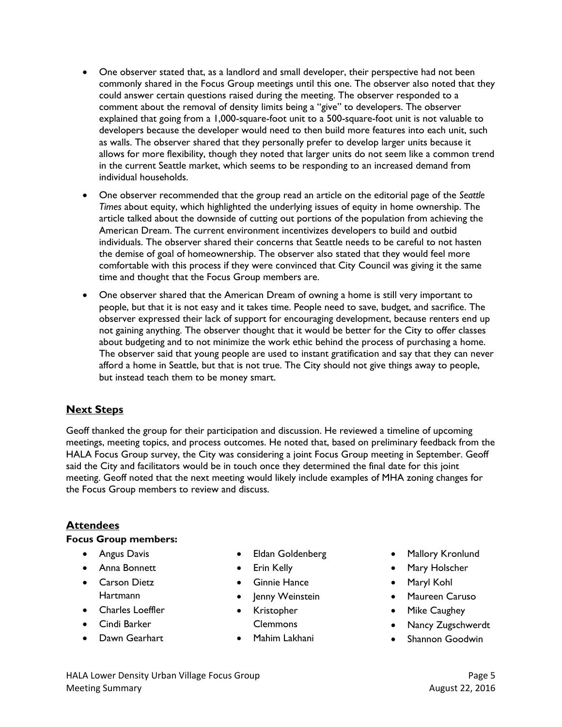- One observer stated that, as a landlord and small developer, their perspective had not been commonly shared in the Focus Group meetings until this one. The observer also noted that they could answer certain questions raised during the meeting. The observer responded to a comment about the removal of density limits being a "give" to developers. The observer explained that going from a 1,000-square-foot unit to a 500-square-foot unit is not valuable to developers because the developer would need to then build more features into each unit, such as walls. The observer shared that they personally prefer to develop larger units because it allows for more flexibility, though they noted that larger units do not seem like a common trend in the current Seattle market, which seems to be responding to an increased demand from individual households.
- One observer recommended that the group read an article on the editorial page of the *Seattle Times* about equity, which highlighted the underlying issues of equity in home ownership. The article talked about the downside of cutting out portions of the population from achieving the American Dream. The current environment incentivizes developers to build and outbid individuals. The observer shared their concerns that Seattle needs to be careful to not hasten the demise of goal of homeownership. The observer also stated that they would feel more comfortable with this process if they were convinced that City Council was giving it the same time and thought that the Focus Group members are.
- One observer shared that the American Dream of owning a home is still very important to people, but that it is not easy and it takes time. People need to save, budget, and sacrifice. The observer expressed their lack of support for encouraging development, because renters end up not gaining anything. The observer thought that it would be better for the City to offer classes about budgeting and to not minimize the work ethic behind the process of purchasing a home. The observer said that young people are used to instant gratification and say that they can never afford a home in Seattle, but that is not true. The City should not give things away to people, but instead teach them to be money smart.

## **Next Steps**

Geoff thanked the group for their participation and discussion. He reviewed a timeline of upcoming meetings, meeting topics, and process outcomes. He noted that, based on preliminary feedback from the HALA Focus Group survey, the City was considering a joint Focus Group meeting in September. Geoff said the City and facilitators would be in touch once they determined the final date for this joint meeting. Geoff noted that the next meeting would likely include examples of MHA zoning changes for the Focus Group members to review and discuss.

## **Attendees**

### **Focus Group members:**

- **•** Angus Davis
- Anna Bonnett
- **•** Carson Dietz **Hartmann**
- Charles Loeffler
- Cindi Barker
- **•** Dawn Gearhart
- Eldan Goldenberg
- Erin Kelly
- **•** Ginnie Hance
- Jenny Weinstein
- Kristopher Clemmons
- Mahim Lakhani
- Mallory Kronlund
- Mary Holscher
- Maryl Kohl
- Maureen Caruso
- Mike Caughey
- Nancy Zugschwerdt
- Shannon Goodwin